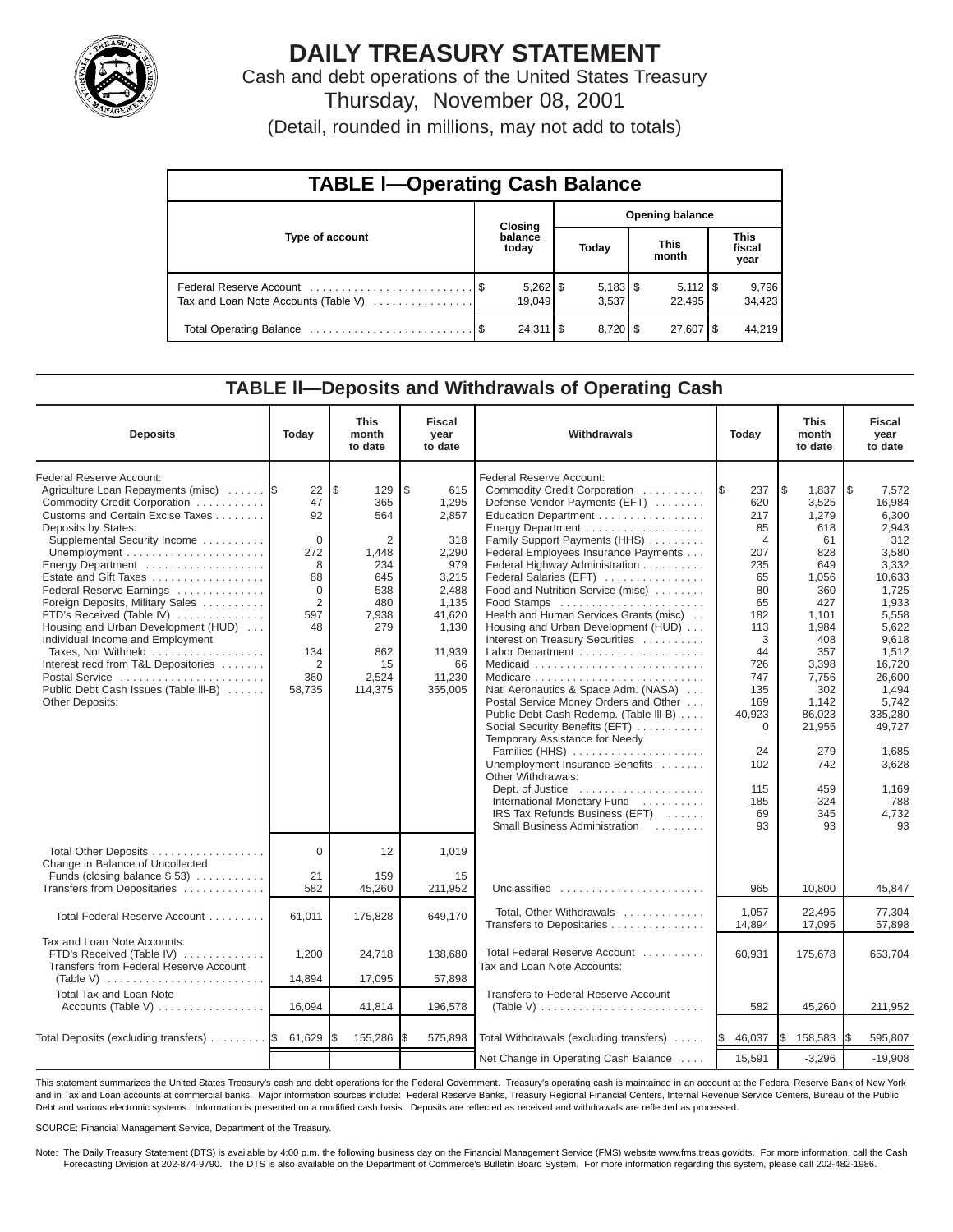

# **DAILY TREASURY STATEMENT**

Cash and debt operations of the United States Treasury Thursday, November 08, 2001

| (Detail, rounded in millions, may not add to totals) |  |  |  |
|------------------------------------------------------|--|--|--|
|------------------------------------------------------|--|--|--|

| <b>TABLE I-Operating Cash Balance</b> |  |                      |                        |                       |                      |                              |                               |                 |  |  |
|---------------------------------------|--|----------------------|------------------------|-----------------------|----------------------|------------------------------|-------------------------------|-----------------|--|--|
| Type of account                       |  | Closing              | <b>Opening balance</b> |                       |                      |                              |                               |                 |  |  |
|                                       |  | balance<br>today     | Today                  |                       | <b>This</b><br>month |                              | <b>This</b><br>fiscal<br>year |                 |  |  |
| Tax and Loan Note Accounts (Table V)  |  | $5,262$ \$<br>19.049 |                        | $5,183$ \$<br>3.537   |                      | $5,112$ $\sqrt{5}$<br>22.495 |                               | 9,796<br>34,423 |  |  |
|                                       |  | $24,311$ $\sqrt{5}$  |                        | $8,720$ $\frac{8}{3}$ |                      | 27,607   \$                  |                               | 44.219          |  |  |

#### **TABLE ll—Deposits and Withdrawals of Operating Cash**

| <b>Deposits</b>                                                                                                                                                                                                                                                                                                                                                                                                                                                                                                                                             | Today                                                                                                   | <b>This</b><br>month<br>to date                                                                                                   | <b>Fiscal</b><br>year<br>to date                                                                                                      | Withdrawals<br>Today                                                                                                                                                                                                                                                                                                                                                                                                                                                                                                                                                                                                                                                                                                                                                                                                            |                                                                                                                                                                                                          | <b>This</b><br>month<br>to date                                                                                                                                                                                    | <b>Fiscal</b><br>year<br>to date                                                                                                                                                                                                                 |
|-------------------------------------------------------------------------------------------------------------------------------------------------------------------------------------------------------------------------------------------------------------------------------------------------------------------------------------------------------------------------------------------------------------------------------------------------------------------------------------------------------------------------------------------------------------|---------------------------------------------------------------------------------------------------------|-----------------------------------------------------------------------------------------------------------------------------------|---------------------------------------------------------------------------------------------------------------------------------------|---------------------------------------------------------------------------------------------------------------------------------------------------------------------------------------------------------------------------------------------------------------------------------------------------------------------------------------------------------------------------------------------------------------------------------------------------------------------------------------------------------------------------------------------------------------------------------------------------------------------------------------------------------------------------------------------------------------------------------------------------------------------------------------------------------------------------------|----------------------------------------------------------------------------------------------------------------------------------------------------------------------------------------------------------|--------------------------------------------------------------------------------------------------------------------------------------------------------------------------------------------------------------------|--------------------------------------------------------------------------------------------------------------------------------------------------------------------------------------------------------------------------------------------------|
| Federal Reserve Account:<br>Agriculture Loan Repayments (misc)<br>Commodity Credit Corporation<br>Customs and Certain Excise Taxes<br>Deposits by States:<br>Supplemental Security Income<br>Energy Department<br>Estate and Gift Taxes<br>Federal Reserve Earnings<br>Foreign Deposits, Military Sales<br>FTD's Received (Table IV)<br>Housing and Urban Development (HUD)<br>Individual Income and Employment<br>Taxes, Not Withheld<br>Interest recd from T&L Depositories<br>Postal Service<br>Public Debt Cash Issues (Table III-B)<br>Other Deposits: | 22<br>47<br>92<br>$\Omega$<br>272<br>8<br>88<br>$\Omega$<br>2<br>597<br>48<br>134<br>2<br>360<br>58,735 | l \$<br>129<br>365<br>564<br>$\overline{2}$<br>1,448<br>234<br>645<br>538<br>480<br>7,938<br>279<br>862<br>15<br>2,524<br>114,375 | \$<br>615<br>1,295<br>2,857<br>318<br>2,290<br>979<br>3,215<br>2.488<br>1,135<br>41,620<br>1,130<br>11,939<br>66<br>11,230<br>355,005 | Federal Reserve Account:<br>Commodity Credit Corporation<br>Defense Vendor Payments (EFT)<br>Education Department<br>Family Support Payments (HHS)<br>Federal Employees Insurance Payments<br>Federal Highway Administration<br>Federal Salaries (EFT)<br>Food and Nutrition Service (misc)<br>Food Stamps<br>Health and Human Services Grants (misc)<br>Housing and Urban Development (HUD)<br>Interest on Treasury Securities<br>Labor Department<br>Natl Aeronautics & Space Adm. (NASA)<br>Postal Service Money Orders and Other<br>Public Debt Cash Redemp. (Table III-B)<br>Social Security Benefits (EFT)<br>Temporary Assistance for Needy<br>Families (HHS)<br>Unemployment Insurance Benefits<br>Other Withdrawals:<br>International Monetary Fund<br>IRS Tax Refunds Business (EFT)<br>Small Business Administration | 237<br>1\$<br>620<br>217<br>85<br>$\overline{4}$<br>207<br>235<br>65<br>80<br>65<br>182<br>113<br>3<br>44<br>726<br>747<br>135<br>169<br>40,923<br>$\mathbf 0$<br>24<br>102<br>115<br>$-185$<br>69<br>93 | l\$<br>1,837<br>3,525<br>1,279<br>618<br>61<br>828<br>649<br>1,056<br>360<br>427<br>1.101<br>1,984<br>408<br>357<br>3,398<br>7,756<br>302<br>1,142<br>86,023<br>21,955<br>279<br>742<br>459<br>$-324$<br>345<br>93 | 1\$<br>7,572<br>16,984<br>6,300<br>2,943<br>312<br>3,580<br>3,332<br>10,633<br>1,725<br>1,933<br>5,558<br>5,622<br>9,618<br>1,512<br>16,720<br>26,600<br>1,494<br>5,742<br>335,280<br>49.727<br>1.685<br>3,628<br>1,169<br>$-788$<br>4,732<br>93 |
| Total Other Deposits<br>Change in Balance of Uncollected<br>Funds (closing balance $$53$ )                                                                                                                                                                                                                                                                                                                                                                                                                                                                  | $\mathbf 0$<br>21                                                                                       | 12<br>159                                                                                                                         | 1,019<br>15                                                                                                                           |                                                                                                                                                                                                                                                                                                                                                                                                                                                                                                                                                                                                                                                                                                                                                                                                                                 |                                                                                                                                                                                                          |                                                                                                                                                                                                                    |                                                                                                                                                                                                                                                  |
| Transfers from Depositaries                                                                                                                                                                                                                                                                                                                                                                                                                                                                                                                                 | 582                                                                                                     | 45,260                                                                                                                            | 211,952                                                                                                                               | Unclassified                                                                                                                                                                                                                                                                                                                                                                                                                                                                                                                                                                                                                                                                                                                                                                                                                    | 965                                                                                                                                                                                                      | 10,800                                                                                                                                                                                                             | 45,847                                                                                                                                                                                                                                           |
| Total Federal Reserve Account                                                                                                                                                                                                                                                                                                                                                                                                                                                                                                                               | 61.011                                                                                                  | 175,828                                                                                                                           | 649,170                                                                                                                               | Total, Other Withdrawals<br>Transfers to Depositaries                                                                                                                                                                                                                                                                                                                                                                                                                                                                                                                                                                                                                                                                                                                                                                           | 1.057<br>14,894                                                                                                                                                                                          | 22,495<br>17,095                                                                                                                                                                                                   | 77,304<br>57,898                                                                                                                                                                                                                                 |
| Tax and Loan Note Accounts:<br>FTD's Received (Table IV)<br>Transfers from Federal Reserve Account<br>(Table V) $\ldots \ldots \ldots \ldots \ldots \ldots \ldots \ldots$                                                                                                                                                                                                                                                                                                                                                                                   | 1,200<br>14,894                                                                                         | 24,718<br>17,095                                                                                                                  | 138,680<br>57,898                                                                                                                     | Total Federal Reserve Account<br>Tax and Loan Note Accounts:                                                                                                                                                                                                                                                                                                                                                                                                                                                                                                                                                                                                                                                                                                                                                                    | 60,931                                                                                                                                                                                                   | 175,678                                                                                                                                                                                                            | 653,704                                                                                                                                                                                                                                          |
| Total Tax and Loan Note                                                                                                                                                                                                                                                                                                                                                                                                                                                                                                                                     |                                                                                                         |                                                                                                                                   |                                                                                                                                       | Transfers to Federal Reserve Account                                                                                                                                                                                                                                                                                                                                                                                                                                                                                                                                                                                                                                                                                                                                                                                            |                                                                                                                                                                                                          |                                                                                                                                                                                                                    |                                                                                                                                                                                                                                                  |
| Accounts (Table V)                                                                                                                                                                                                                                                                                                                                                                                                                                                                                                                                          | 16,094                                                                                                  | 41,814                                                                                                                            | 196,578                                                                                                                               | (Table V) $\ldots \ldots \ldots \ldots \ldots \ldots \ldots \ldots$                                                                                                                                                                                                                                                                                                                                                                                                                                                                                                                                                                                                                                                                                                                                                             | 582                                                                                                                                                                                                      | 45,260                                                                                                                                                                                                             | 211,952                                                                                                                                                                                                                                          |
| Total Deposits (excluding transfers)  \$                                                                                                                                                                                                                                                                                                                                                                                                                                                                                                                    | 61,629                                                                                                  | 155,286                                                                                                                           | 575,898                                                                                                                               | Total Withdrawals (excluding transfers)                                                                                                                                                                                                                                                                                                                                                                                                                                                                                                                                                                                                                                                                                                                                                                                         | 46,037<br>1\$                                                                                                                                                                                            | I\$<br>158,583                                                                                                                                                                                                     | 595,807                                                                                                                                                                                                                                          |
|                                                                                                                                                                                                                                                                                                                                                                                                                                                                                                                                                             |                                                                                                         |                                                                                                                                   |                                                                                                                                       | Net Change in Operating Cash Balance                                                                                                                                                                                                                                                                                                                                                                                                                                                                                                                                                                                                                                                                                                                                                                                            | 15,591                                                                                                                                                                                                   | $-3,296$                                                                                                                                                                                                           | $-19,908$                                                                                                                                                                                                                                        |

This statement summarizes the United States Treasury's cash and debt operations for the Federal Government. Treasury's operating cash is maintained in an account at the Federal Reserve Bank of New York and in Tax and Loan accounts at commercial banks. Major information sources include: Federal Reserve Banks, Treasury Regional Financial Centers, Internal Revenue Service Centers, Bureau of the Public Debt and various electronic systems. Information is presented on a modified cash basis. Deposits are reflected as received and withdrawals are reflected as processed.

SOURCE: Financial Management Service, Department of the Treasury.

Note: The Daily Treasury Statement (DTS) is available by 4:00 p.m. the following business day on the Financial Management Service (FMS) website www.fms.treas.gov/dts. For more information, call the Cash Forecasting Division at 202-874-9790. The DTS is also available on the Department of Commerce's Bulletin Board System. For more information regarding this system, please call 202-482-1986.